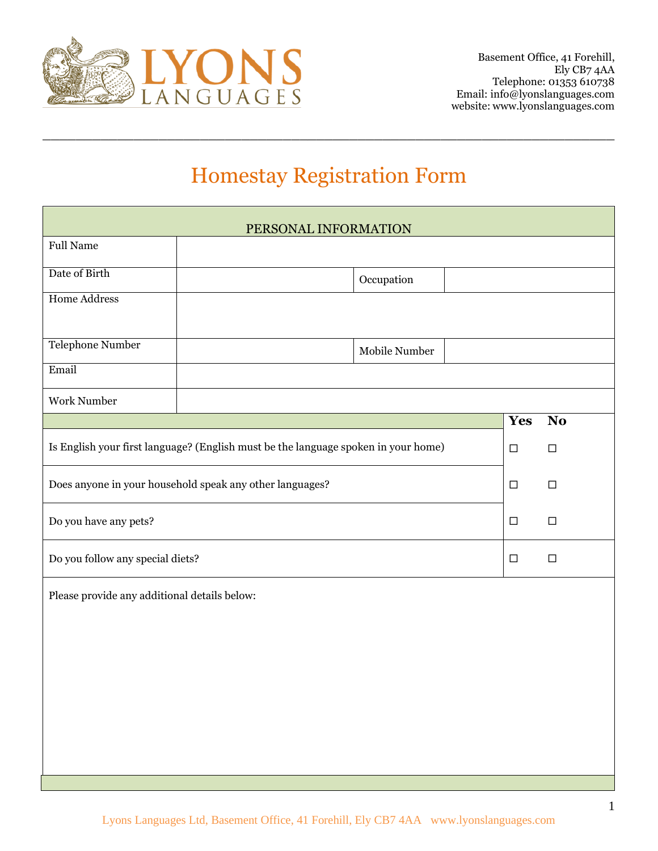

# Homestay Registration Form

 $\_$  , and the set of the set of the set of the set of the set of the set of the set of the set of the set of the set of the set of the set of the set of the set of the set of the set of the set of the set of the set of th

| PERSONAL INFORMATION                                                               |  |               |        |                |
|------------------------------------------------------------------------------------|--|---------------|--------|----------------|
| <b>Full Name</b>                                                                   |  |               |        |                |
| Date of Birth                                                                      |  | Occupation    |        |                |
| <b>Home Address</b>                                                                |  |               |        |                |
| Telephone Number                                                                   |  | Mobile Number |        |                |
| Email                                                                              |  |               |        |                |
| Work Number                                                                        |  |               |        |                |
|                                                                                    |  |               | Yes    | N <sub>o</sub> |
| Is English your first language? (English must be the language spoken in your home) |  |               | $\Box$ | $\Box$         |
| Does anyone in your household speak any other languages?                           |  |               | $\Box$ | $\Box$         |
| Do you have any pets?                                                              |  |               | $\Box$ | $\Box$         |
| Do you follow any special diets?                                                   |  |               | $\Box$ | $\Box$         |
| Please provide any additional details below:                                       |  |               |        |                |
|                                                                                    |  |               |        |                |
|                                                                                    |  |               |        |                |
|                                                                                    |  |               |        |                |
|                                                                                    |  |               |        |                |
|                                                                                    |  |               |        |                |
|                                                                                    |  |               |        |                |
|                                                                                    |  |               |        |                |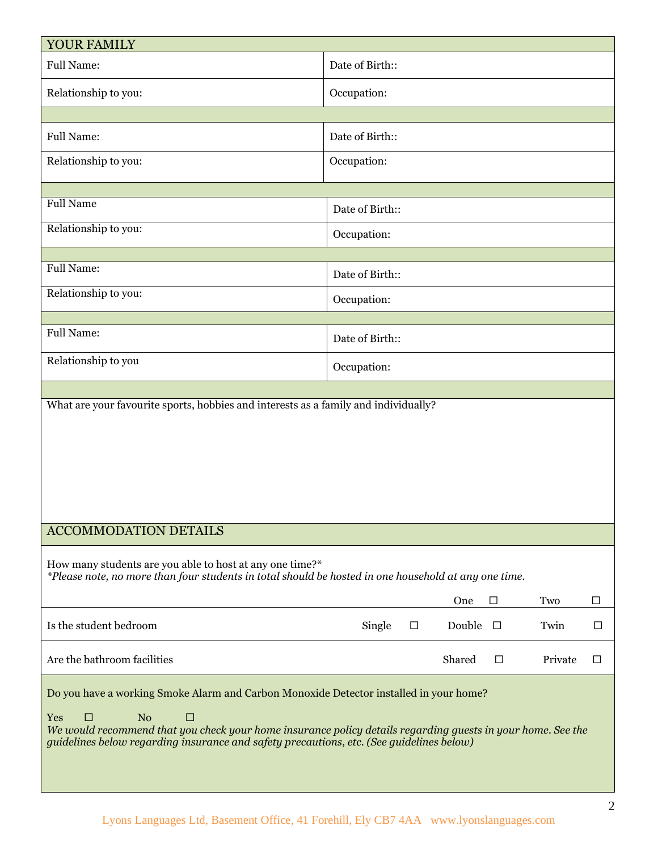| YOUR FAMILY                                                                                                                                                                                                                                                                                                                          |                                                   |  |  |  |
|--------------------------------------------------------------------------------------------------------------------------------------------------------------------------------------------------------------------------------------------------------------------------------------------------------------------------------------|---------------------------------------------------|--|--|--|
| <b>Full Name:</b>                                                                                                                                                                                                                                                                                                                    | Date of Birth::                                   |  |  |  |
| Relationship to you:                                                                                                                                                                                                                                                                                                                 | Occupation:                                       |  |  |  |
|                                                                                                                                                                                                                                                                                                                                      |                                                   |  |  |  |
| <b>Full Name:</b>                                                                                                                                                                                                                                                                                                                    | Date of Birth::                                   |  |  |  |
| Relationship to you:                                                                                                                                                                                                                                                                                                                 | Occupation:                                       |  |  |  |
|                                                                                                                                                                                                                                                                                                                                      |                                                   |  |  |  |
| <b>Full Name</b>                                                                                                                                                                                                                                                                                                                     | Date of Birth::                                   |  |  |  |
| Relationship to you:                                                                                                                                                                                                                                                                                                                 | Occupation:                                       |  |  |  |
| <b>Full Name:</b>                                                                                                                                                                                                                                                                                                                    |                                                   |  |  |  |
|                                                                                                                                                                                                                                                                                                                                      | Date of Birth::                                   |  |  |  |
| Relationship to you:                                                                                                                                                                                                                                                                                                                 | Occupation:                                       |  |  |  |
|                                                                                                                                                                                                                                                                                                                                      |                                                   |  |  |  |
| <b>Full Name:</b>                                                                                                                                                                                                                                                                                                                    | Date of Birth::                                   |  |  |  |
| Relationship to you                                                                                                                                                                                                                                                                                                                  | Occupation:                                       |  |  |  |
|                                                                                                                                                                                                                                                                                                                                      |                                                   |  |  |  |
| What are your favourite sports, hobbies and interests as a family and individually?                                                                                                                                                                                                                                                  |                                                   |  |  |  |
| <b>ACCOMMODATION DETAILS</b>                                                                                                                                                                                                                                                                                                         |                                                   |  |  |  |
| How many students are you able to host at any one time?*<br>*Please note, no more than four students in total should be hosted in one household at any one time.                                                                                                                                                                     |                                                   |  |  |  |
|                                                                                                                                                                                                                                                                                                                                      | Two<br>□<br>□<br>One                              |  |  |  |
| Is the student bedroom                                                                                                                                                                                                                                                                                                               | Single<br>Double<br>Twin<br>$\Box$<br>$\Box$<br>□ |  |  |  |
| Are the bathroom facilities                                                                                                                                                                                                                                                                                                          | Shared<br>Private<br>$\Box$<br>□                  |  |  |  |
| Do you have a working Smoke Alarm and Carbon Monoxide Detector installed in your home?<br>N <sub>o</sub><br>Yes<br>□<br>□<br>We would recommend that you check your home insurance policy details regarding guests in your home. See the<br>guidelines below regarding insurance and safety precautions, etc. (See guidelines below) |                                                   |  |  |  |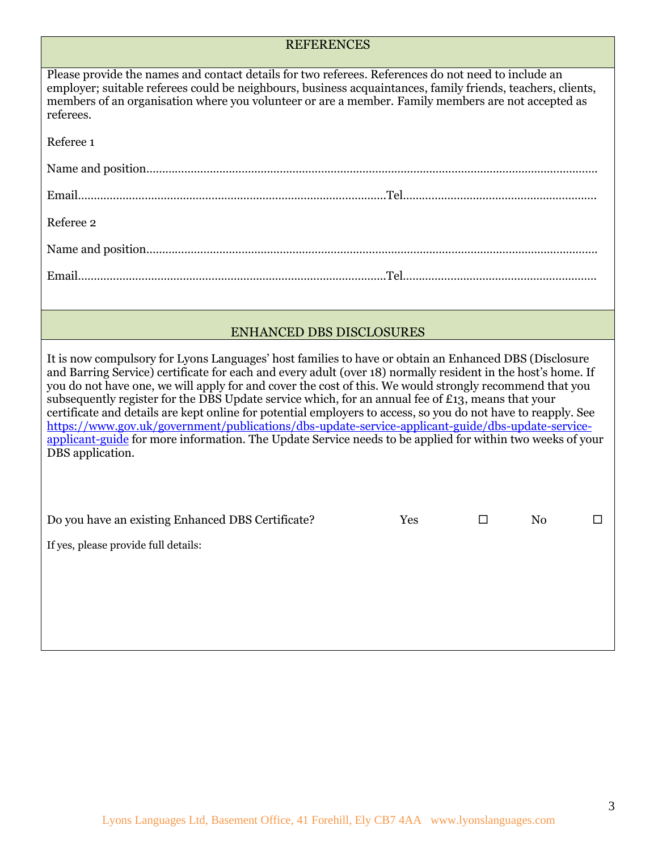## **REFERENCES**

| Please provide the names and contact details for two referees. References do not need to include an<br>employer; suitable referees could be neighbours, business acquaintances, family friends, teachers, clients,<br>members of an organisation where you volunteer or are a member. Family members are not accepted as<br>referees.                                                                                                                                                                                                                                                                                                                                                                                                                                                        |  |  |
|----------------------------------------------------------------------------------------------------------------------------------------------------------------------------------------------------------------------------------------------------------------------------------------------------------------------------------------------------------------------------------------------------------------------------------------------------------------------------------------------------------------------------------------------------------------------------------------------------------------------------------------------------------------------------------------------------------------------------------------------------------------------------------------------|--|--|
| Referee 1                                                                                                                                                                                                                                                                                                                                                                                                                                                                                                                                                                                                                                                                                                                                                                                    |  |  |
|                                                                                                                                                                                                                                                                                                                                                                                                                                                                                                                                                                                                                                                                                                                                                                                              |  |  |
|                                                                                                                                                                                                                                                                                                                                                                                                                                                                                                                                                                                                                                                                                                                                                                                              |  |  |
| Referee 2                                                                                                                                                                                                                                                                                                                                                                                                                                                                                                                                                                                                                                                                                                                                                                                    |  |  |
|                                                                                                                                                                                                                                                                                                                                                                                                                                                                                                                                                                                                                                                                                                                                                                                              |  |  |
|                                                                                                                                                                                                                                                                                                                                                                                                                                                                                                                                                                                                                                                                                                                                                                                              |  |  |
|                                                                                                                                                                                                                                                                                                                                                                                                                                                                                                                                                                                                                                                                                                                                                                                              |  |  |
| <b>ENHANCED DBS DISCLOSURES</b>                                                                                                                                                                                                                                                                                                                                                                                                                                                                                                                                                                                                                                                                                                                                                              |  |  |
| It is now compulsory for Lyons Languages' host families to have or obtain an Enhanced DBS (Disclosure<br>and Barring Service) certificate for each and every adult (over 18) normally resident in the host's home. If<br>you do not have one, we will apply for and cover the cost of this. We would strongly recommend that you<br>subsequently register for the DBS Update service which, for an annual fee of £13, means that your<br>certificate and details are kept online for potential employers to access, so you do not have to reapply. See<br>https://www.gov.uk/government/publications/dbs-update-service-applicant-guide/dbs-update-service-<br>applicant-guide for more information. The Update Service needs to be applied for within two weeks of your<br>DBS application. |  |  |
| Do you have an existing Enhanced DBS Certificate?<br>Yes<br>N <sub>o</sub><br>□<br>П<br>If yes, please provide full details:                                                                                                                                                                                                                                                                                                                                                                                                                                                                                                                                                                                                                                                                 |  |  |
|                                                                                                                                                                                                                                                                                                                                                                                                                                                                                                                                                                                                                                                                                                                                                                                              |  |  |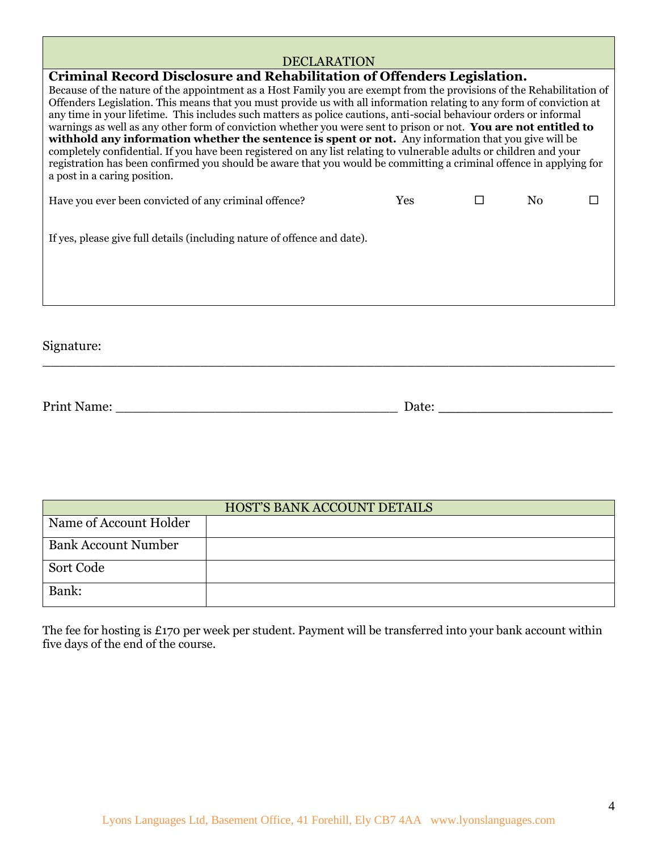## **DECLARATION**

| Criminal Record Disclosure and Rehabilitation of Offenders Legislation.                                                                                                                                                                                                                                                                                                                                                                                                                                                                                                                                                                                                                                                                                                                                                                                                        |     |        |                |  |
|--------------------------------------------------------------------------------------------------------------------------------------------------------------------------------------------------------------------------------------------------------------------------------------------------------------------------------------------------------------------------------------------------------------------------------------------------------------------------------------------------------------------------------------------------------------------------------------------------------------------------------------------------------------------------------------------------------------------------------------------------------------------------------------------------------------------------------------------------------------------------------|-----|--------|----------------|--|
| Because of the nature of the appointment as a Host Family you are exempt from the provisions of the Rehabilitation of<br>Offenders Legislation. This means that you must provide us with all information relating to any form of conviction at<br>any time in your lifetime. This includes such matters as police cautions, anti-social behaviour orders or informal<br>warnings as well as any other form of conviction whether you were sent to prison or not. You are not entitled to<br>withhold any information whether the sentence is spent or not. Any information that you give will be<br>completely confidential. If you have been registered on any list relating to vulnerable adults or children and your<br>registration has been confirmed you should be aware that you would be committing a criminal offence in applying for<br>a post in a caring position. |     |        |                |  |
| Have you ever been convicted of any criminal offence?                                                                                                                                                                                                                                                                                                                                                                                                                                                                                                                                                                                                                                                                                                                                                                                                                          | Yes | $\Box$ | N <sub>0</sub> |  |
| If yes, please give full details (including nature of offence and date).                                                                                                                                                                                                                                                                                                                                                                                                                                                                                                                                                                                                                                                                                                                                                                                                       |     |        |                |  |
| Signature:                                                                                                                                                                                                                                                                                                                                                                                                                                                                                                                                                                                                                                                                                                                                                                                                                                                                     |     |        |                |  |

| <b>Print Name:</b> | Jate. |
|--------------------|-------|
|                    |       |

| HOST'S BANK ACCOUNT DETAILS |  |  |
|-----------------------------|--|--|
| Name of Account Holder      |  |  |
| <b>Bank Account Number</b>  |  |  |
| Sort Code                   |  |  |
| Bank:                       |  |  |

The fee for hosting is £170 per week per student. Payment will be transferred into your bank account within five days of the end of the course.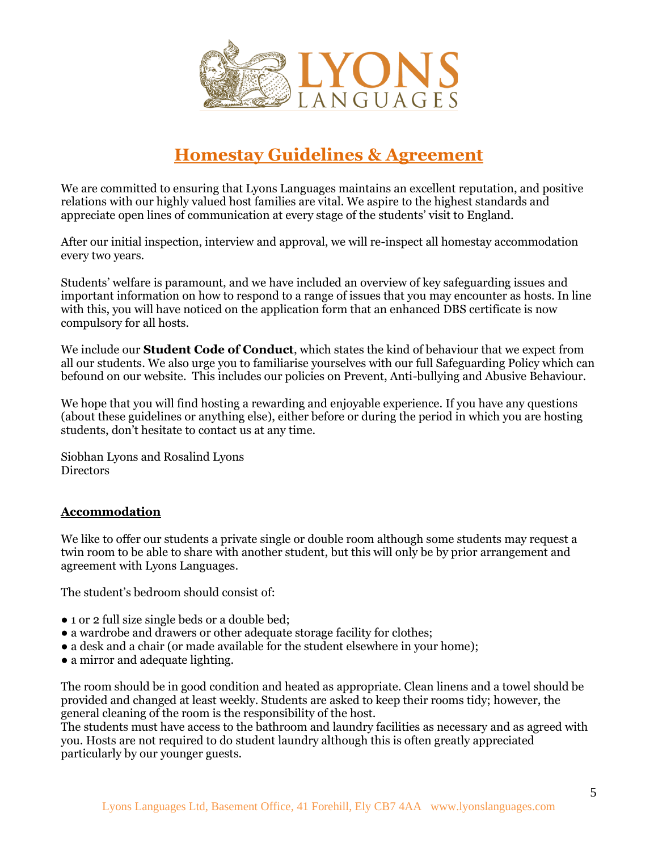

# **Homestay Guidelines & Agreement**

We are committed to ensuring that Lyons Languages maintains an excellent reputation, and positive relations with our highly valued host families are vital. We aspire to the highest standards and appreciate open lines of communication at every stage of the students' visit to England.

After our initial inspection, interview and approval, we will re-inspect all homestay accommodation every two years.

Students' welfare is paramount, and we have included an overview of key safeguarding issues and important information on how to respond to a range of issues that you may encounter as hosts. In line with this, you will have noticed on the application form that an enhanced DBS certificate is now compulsory for all hosts.

We include our **Student Code of Conduct**, which states the kind of behaviour that we expect from all our students. We also urge you to familiarise yourselves with our full Safeguarding Policy which can befound on our website. This includes our policies on Prevent, Anti-bullying and Abusive Behaviour.

We hope that you will find hosting a rewarding and enjoyable experience. If you have any questions (about these guidelines or anything else), either before or during the period in which you are hosting students, don't hesitate to contact us at any time.

Siobhan Lyons and Rosalind Lyons Directors

#### **Accommodation**

We like to offer our students a private single or double room although some students may request a twin room to be able to share with another student, but this will only be by prior arrangement and agreement with Lyons Languages.

The student's bedroom should consist of:

- 1 or 2 full size single beds or a double bed;
- a wardrobe and drawers or other adequate storage facility for clothes;
- a desk and a chair (or made available for the student elsewhere in your home);
- a mirror and adequate lighting.

The room should be in good condition and heated as appropriate. Clean linens and a towel should be provided and changed at least weekly. Students are asked to keep their rooms tidy; however, the general cleaning of the room is the responsibility of the host.

The students must have access to the bathroom and laundry facilities as necessary and as agreed with you. Hosts are not required to do student laundry although this is often greatly appreciated particularly by our younger guests.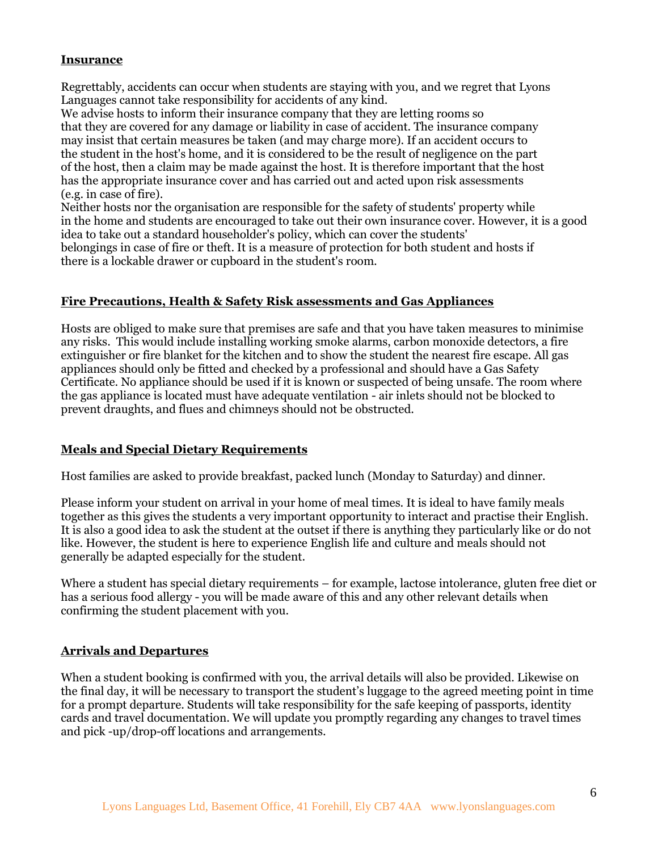## **Insurance**

Regrettably, accidents can occur when students are staying with you, and we regret that Lyons Languages cannot take responsibility for accidents of any kind.

We advise hosts to inform their insurance company that they are letting rooms so that they are covered for any damage or liability in case of accident. The insurance company may insist that certain measures be taken (and may charge more). If an accident occurs to the student in the host's home, and it is considered to be the result of negligence on the part of the host, then a claim may be made against the host. It is therefore important that the host has the appropriate insurance cover and has carried out and acted upon risk assessments (e.g. in case of fire).

Neither hosts nor the organisation are responsible for the safety of students' property while in the home and students are encouraged to take out their own insurance cover. However, it is a good idea to take out a standard householder's policy, which can cover the students' belongings in case of fire or theft. It is a measure of protection for both student and hosts if there is a lockable drawer or cupboard in the student's room.

#### **Fire Precautions, Health & Safety Risk assessments and Gas Appliances**

Hosts are obliged to make sure that premises are safe and that you have taken measures to minimise any risks. This would include installing working smoke alarms, carbon monoxide detectors, a fire extinguisher or fire blanket for the kitchen and to show the student the nearest fire escape. All gas appliances should only be fitted and checked by a professional and should have a Gas Safety Certificate. No appliance should be used if it is known or suspected of being unsafe. The room where the gas appliance is located must have adequate ventilation - air inlets should not be blocked to prevent draughts, and flues and chimneys should not be obstructed.

#### **Meals and Special Dietary Requirements**

Host families are asked to provide breakfast, packed lunch (Monday to Saturday) and dinner.

Please inform your student on arrival in your home of meal times. It is ideal to have family meals together as this gives the students a very important opportunity to interact and practise their English. It is also a good idea to ask the student at the outset if there is anything they particularly like or do not like. However, the student is here to experience English life and culture and meals should not generally be adapted especially for the student.

Where a student has special dietary requirements – for example, lactose intolerance, gluten free diet or has a serious food allergy - you will be made aware of this and any other relevant details when confirming the student placement with you.

#### **Arrivals and Departures**

When a student booking is confirmed with you, the arrival details will also be provided. Likewise on the final day, it will be necessary to transport the student's luggage to the agreed meeting point in time for a prompt departure. Students will take responsibility for the safe keeping of passports, identity cards and travel documentation. We will update you promptly regarding any changes to travel times and pick -up/drop-off locations and arrangements.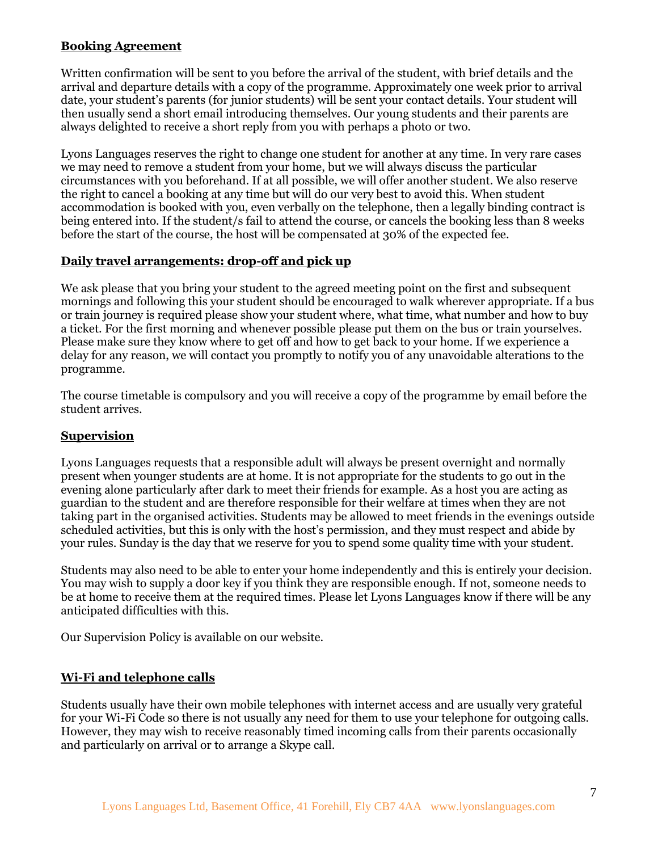## **Booking Agreement**

Written confirmation will be sent to you before the arrival of the student, with brief details and the arrival and departure details with a copy of the programme. Approximately one week prior to arrival date, your student's parents (for junior students) will be sent your contact details. Your student will then usually send a short email introducing themselves. Our young students and their parents are always delighted to receive a short reply from you with perhaps a photo or two.

Lyons Languages reserves the right to change one student for another at any time. In very rare cases we may need to remove a student from your home, but we will always discuss the particular circumstances with you beforehand. If at all possible, we will offer another student. We also reserve the right to cancel a booking at any time but will do our very best to avoid this. When student accommodation is booked with you, even verbally on the telephone, then a legally binding contract is being entered into. If the student/s fail to attend the course, or cancels the booking less than 8 weeks before the start of the course, the host will be compensated at 30% of the expected fee.

## **Daily travel arrangements: drop-off and pick up**

We ask please that you bring your student to the agreed meeting point on the first and subsequent mornings and following this your student should be encouraged to walk wherever appropriate. If a bus or train journey is required please show your student where, what time, what number and how to buy a ticket. For the first morning and whenever possible please put them on the bus or train yourselves. Please make sure they know where to get off and how to get back to your home. If we experience a delay for any reason, we will contact you promptly to notify you of any unavoidable alterations to the programme.

The course timetable is compulsory and you will receive a copy of the programme by email before the student arrives.

#### **Supervision**

Lyons Languages requests that a responsible adult will always be present overnight and normally present when younger students are at home. It is not appropriate for the students to go out in the evening alone particularly after dark to meet their friends for example. As a host you are acting as guardian to the student and are therefore responsible for their welfare at times when they are not taking part in the organised activities. Students may be allowed to meet friends in the evenings outside scheduled activities, but this is only with the host's permission, and they must respect and abide by your rules. Sunday is the day that we reserve for you to spend some quality time with your student.

Students may also need to be able to enter your home independently and this is entirely your decision. You may wish to supply a door key if you think they are responsible enough. If not, someone needs to be at home to receive them at the required times. Please let Lyons Languages know if there will be any anticipated difficulties with this.

Our Supervision Policy is available on our website.

#### **Wi-Fi and telephone calls**

Students usually have their own mobile telephones with internet access and are usually very grateful for your Wi-Fi Code so there is not usually any need for them to use your telephone for outgoing calls. However, they may wish to receive reasonably timed incoming calls from their parents occasionally and particularly on arrival or to arrange a Skype call.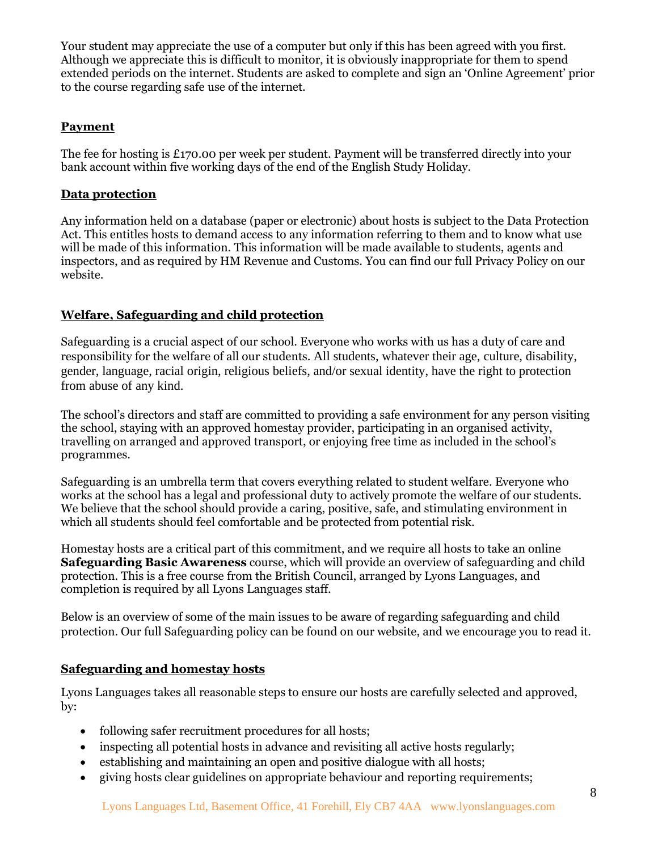Your student may appreciate the use of a computer but only if this has been agreed with you first. Although we appreciate this is difficult to monitor, it is obviously inappropriate for them to spend extended periods on the internet. Students are asked to complete and sign an 'Online Agreement' prior to the course regarding safe use of the internet.

## **Payment**

The fee for hosting is £170.00 per week per student. Payment will be transferred directly into your bank account within five working days of the end of the English Study Holiday.

## **Data protection**

Any information held on a database (paper or electronic) about hosts is subject to the Data Protection Act. This entitles hosts to demand access to any information referring to them and to know what use will be made of this information. This information will be made available to students, agents and inspectors, and as required by HM Revenue and Customs. You can find our full Privacy Policy on our website.

## **Welfare, Safeguarding and child protection**

Safeguarding is a crucial aspect of our school. Everyone who works with us has a duty of care and responsibility for the welfare of all our students. All students, whatever their age, culture, disability, gender, language, racial origin, religious beliefs, and/or sexual identity, have the right to protection from abuse of any kind.

The school's directors and staff are committed to providing a safe environment for any person visiting the school, staying with an approved homestay provider, participating in an organised activity, travelling on arranged and approved transport, or enjoying free time as included in the school's programmes.

Safeguarding is an umbrella term that covers everything related to student welfare. Everyone who works at the school has a legal and professional duty to actively promote the welfare of our students. We believe that the school should provide a caring, positive, safe, and stimulating environment in which all students should feel comfortable and be protected from potential risk.

Homestay hosts are a critical part of this commitment, and we require all hosts to take an online **Safeguarding Basic Awareness** course, which will provide an overview of safeguarding and child protection. This is a free course from the British Council, arranged by Lyons Languages, and completion is required by all Lyons Languages staff.

Below is an overview of some of the main issues to be aware of regarding safeguarding and child protection. Our full Safeguarding policy can be found on our website, and we encourage you to read it.

## **Safeguarding and homestay hosts**

Lyons Languages takes all reasonable steps to ensure our hosts are carefully selected and approved, by:

- following safer recruitment procedures for all hosts;
- inspecting all potential hosts in advance and revisiting all active hosts regularly;
- establishing and maintaining an open and positive dialogue with all hosts;
- giving hosts clear guidelines on appropriate behaviour and reporting requirements;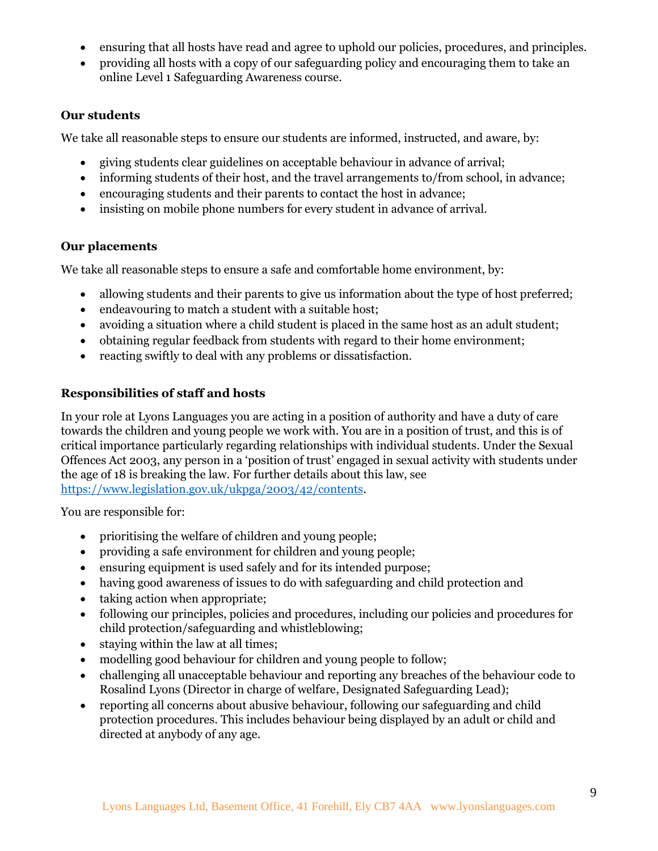- ensuring that all hosts have read and agree to uphold our policies, procedures, and principles.
- providing all hosts with a copy of our safeguarding policy and encouraging them to take an online Level 1 Safeguarding Awareness course.

## **Our students**

We take all reasonable steps to ensure our students are informed, instructed, and aware, by:

- giving students clear guidelines on acceptable behaviour in advance of arrival;
- informing students of their host, and the travel arrangements to/from school, in advance;
- encouraging students and their parents to contact the host in advance;
- insisting on mobile phone numbers for every student in advance of arrival.

## **Our placements**

We take all reasonable steps to ensure a safe and comfortable home environment, by:

- allowing students and their parents to give us information about the type of host preferred;
- endeavouring to match a student with a suitable host;
- avoiding a situation where a child student is placed in the same host as an adult student;
- obtaining regular feedback from students with regard to their home environment;
- reacting swiftly to deal with any problems or dissatisfaction.

## **Responsibilities of staff and hosts**

In your role at Lyons Languages you are acting in a position of authority and have a duty of care towards the children and young people we work with. You are in a position of trust, and this is of critical importance particularly regarding relationships with individual students. Under the Sexual Offences Act 2003, any person in a 'position of trust' engaged in sexual activity with students under the age of 18 is breaking the law. For further details about this law, see [https://www.legislation.gov.uk/ukpga/2003/42/contents.](https://www.legislation.gov.uk/ukpga/2003/42/contents)

You are responsible for:

- prioritising the welfare of children and young people;
- providing a safe environment for children and young people;
- ensuring equipment is used safely and for its intended purpose;
- having good awareness of issues to do with safeguarding and child protection and
- taking action when appropriate;
- following our principles, policies and procedures, including our policies and procedures for child protection/safeguarding and whistleblowing;
- staying within the law at all times;
- modelling good behaviour for children and young people to follow;
- challenging all unacceptable behaviour and reporting any breaches of the behaviour code to Rosalind Lyons (Director in charge of welfare, Designated Safeguarding Lead);
- reporting all concerns about abusive behaviour, following our safeguarding and child protection procedures. This includes behaviour being displayed by an adult or child and directed at anybody of any age.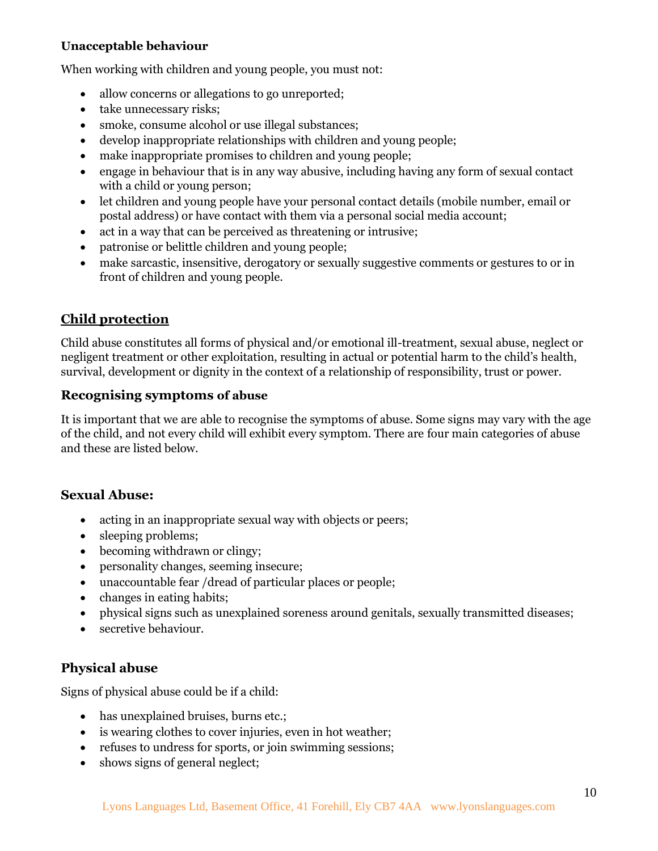## **Unacceptable behaviour**

When working with children and young people, you must not:

- allow concerns or allegations to go unreported;
- take unnecessary risks;
- smoke, consume alcohol or use illegal substances;
- develop inappropriate relationships with children and young people;
- make inappropriate promises to children and young people;
- engage in behaviour that is in any way abusive, including having any form of sexual contact with a child or young person;
- let children and young people have your personal contact details (mobile number, email or postal address) or have contact with them via a personal social media account;
- act in a way that can be perceived as threatening or intrusive;
- patronise or belittle children and young people;
- make sarcastic, insensitive, derogatory or sexually suggestive comments or gestures to or in front of children and young people.

## **Child protection**

Child abuse constitutes all forms of physical and/or emotional ill-treatment, sexual abuse, neglect or negligent treatment or other exploitation, resulting in actual or potential harm to the child's health, survival, development or dignity in the context of a relationship of responsibility, trust or power.

## **Recognising symptoms of abuse**

It is important that we are able to recognise the symptoms of abuse. Some signs may vary with the age of the child, and not every child will exhibit every symptom. There are four main categories of abuse and these are listed below.

## **Sexual Abuse:**

- acting in an inappropriate sexual way with objects or peers;
- sleeping problems;
- becoming withdrawn or clingy;
- personality changes, seeming insecure;
- unaccountable fear /dread of particular places or people;
- changes in eating habits;
- physical signs such as unexplained soreness around genitals, sexually transmitted diseases;
- secretive behaviour.

## **Physical abuse**

Signs of physical abuse could be if a child:

- has unexplained bruises, burns etc.;
- is wearing clothes to cover injuries, even in hot weather;
- refuses to undress for sports, or join swimming sessions;
- shows signs of general neglect;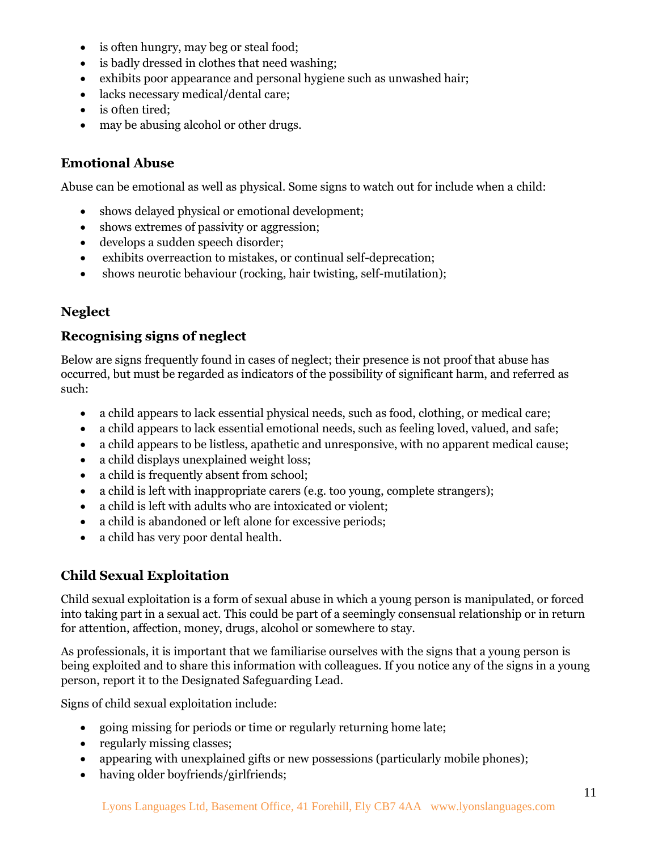- is often hungry, may beg or steal food;
- is badly dressed in clothes that need washing;
- exhibits poor appearance and personal hygiene such as unwashed hair;
- lacks necessary medical/dental care;
- is often tired;
- may be abusing alcohol or other drugs.

## **Emotional Abuse**

Abuse can be emotional as well as physical. Some signs to watch out for include when a child:

- shows delayed physical or emotional development;
- shows extremes of passivity or aggression;
- develops a sudden speech disorder;
- exhibits overreaction to mistakes, or continual self-deprecation;
- shows neurotic behaviour (rocking, hair twisting, self-mutilation);

## **Neglect**

## **Recognising signs of neglect**

Below are signs frequently found in cases of neglect; their presence is not proof that abuse has occurred, but must be regarded as indicators of the possibility of significant harm, and referred as such:

- a child appears to lack essential physical needs, such as food, clothing, or medical care;
- a child appears to lack essential emotional needs, such as feeling loved, valued, and safe;
- a child appears to be listless, apathetic and unresponsive, with no apparent medical cause;
- a child displays unexplained weight loss;
- a child is frequently absent from school;
- a child is left with inappropriate carers (e.g. too young, complete strangers);
- a child is left with adults who are intoxicated or violent;
- a child is abandoned or left alone for excessive periods;
- a child has very poor dental health.

## **Child Sexual Exploitation**

Child sexual exploitation is a form of sexual abuse in which a young person is manipulated, or forced into taking part in a sexual act. This could be part of a seemingly consensual relationship or in return for attention, affection, money, drugs, alcohol or somewhere to stay.

As professionals, it is important that we familiarise ourselves with the signs that a young person is being exploited and to share this information with colleagues. If you notice any of the signs in a young person, report it to the Designated Safeguarding Lead.

Signs of child sexual exploitation include:

- going missing for periods or time or regularly returning home late;
- regularly missing classes;
- appearing with unexplained gifts or new possessions (particularly mobile phones);
- having older boyfriends/girlfriends;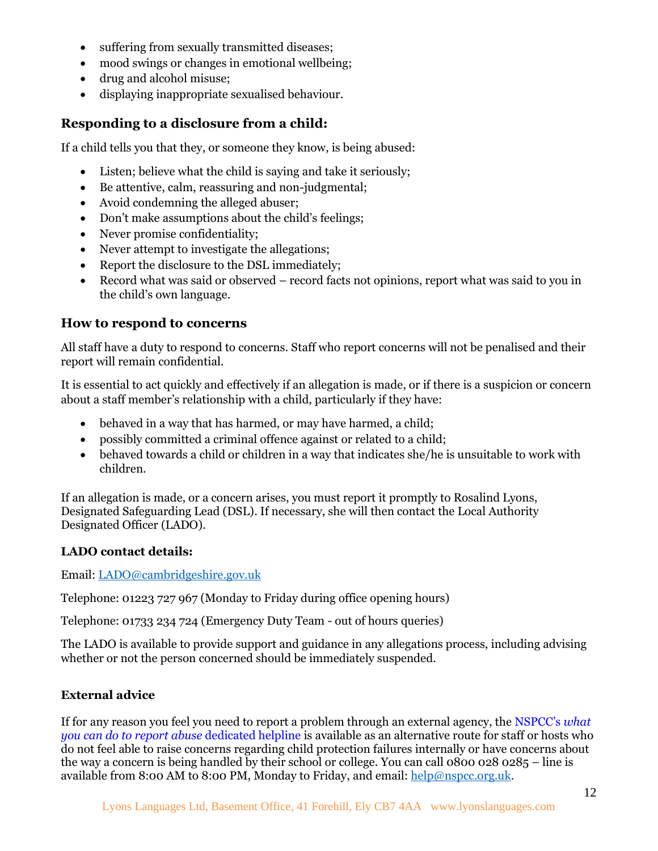- suffering from sexually transmitted diseases;
- mood swings or changes in emotional wellbeing;
- drug and alcohol misuse;
- displaying inappropriate sexualised behaviour.

## **Responding to a disclosure from a child:**

If a child tells you that they, or someone they know, is being abused:

- Listen; believe what the child is saying and take it seriously;
- Be attentive, calm, reassuring and non-judgmental;
- Avoid condemning the alleged abuser;
- Don't make assumptions about the child's feelings;
- Never promise confidentiality;
- Never attempt to investigate the allegations;
- Report the disclosure to the DSL immediately;
- Record what was said or observed record facts not opinions, report what was said to you in the child's own language.

## **How to respond to concerns**

All staff have a duty to respond to concerns. Staff who report concerns will not be penalised and their report will remain confidential.

It is essential to act quickly and effectively if an allegation is made, or if there is a suspicion or concern about a staff member's relationship with a child, particularly if they have:

- behaved in a way that has harmed, or may have harmed, a child;
- possibly committed a criminal offence against or related to a child;
- behaved towards a child or children in a way that indicates she/he is unsuitable to work with children.

If an allegation is made, or a concern arises, you must report it promptly to Rosalind Lyons, Designated Safeguarding Lead (DSL). If necessary, she will then contact the Local Authority Designated Officer (LADO).

#### **LADO contact details:**

Email: [LADO@cambridgeshire.gov.uk](mailto:LADO@cambridgeshire.gov.uk)

Telephone: 01223 727 967 (Monday to Friday during office opening hours)

Telephone: 01733 234 724 (Emergency Duty Team - out of hours queries)

The LADO is available to provide support and guidance in any allegations process, including advising whether or not the person concerned should be immediately suspended.

#### **External advice**

If for any reason you feel you need to report a problem through an external agency, the NSPCC's *what you can do to report abuse* dedicated helpline is available as an alternative route for staff or hosts who do not feel able to raise concerns regarding child protection failures internally or have concerns about the way a concern is being handled by their school or college. You can call 0800 028 0285 – line is available from 8:00 AM to 8:00 PM, Monday to Friday, and email: [help@nspcc.org.uk.](mailto:help@nspcc.org.uk)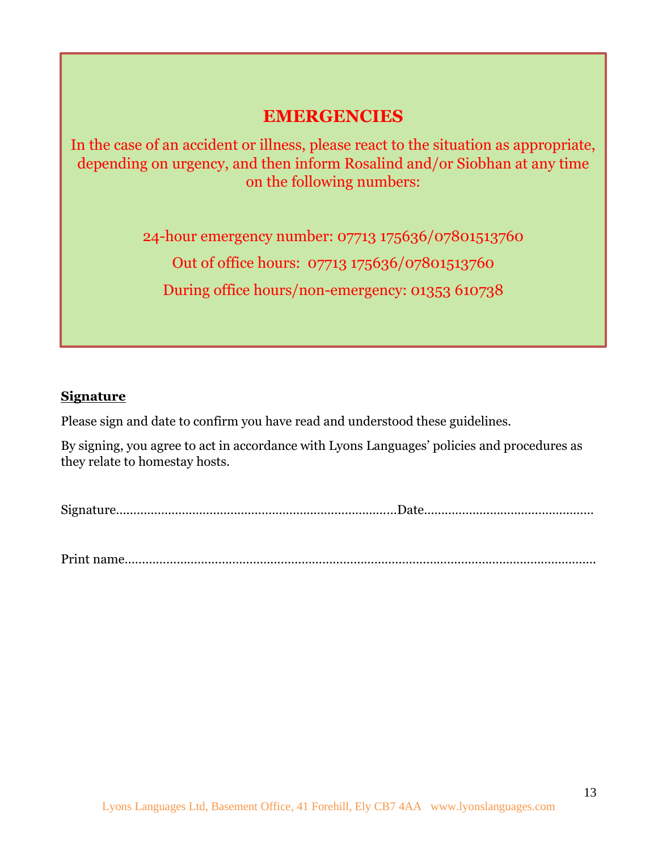## **EMERGENCIES**

In the case of an accident or illness, please react to the situation as appropriate, depending on urgency, and then inform Rosalind and/or Siobhan at any time on the following numbers:

24-hour emergency number: 07713 175636/07801513760

Out of office hours: 07713 175636/07801513760

During office hours/non-emergency: 01353 610738

## **Signature**

Please sign and date to confirm you have read and understood these guidelines.

By signing, you agree to act in accordance with Lyons Languages' policies and procedures as they relate to homestay hosts.

Signature………………………………………………………………………Date……………….…………………………

Print name……………………………………………………………………………………………………………………….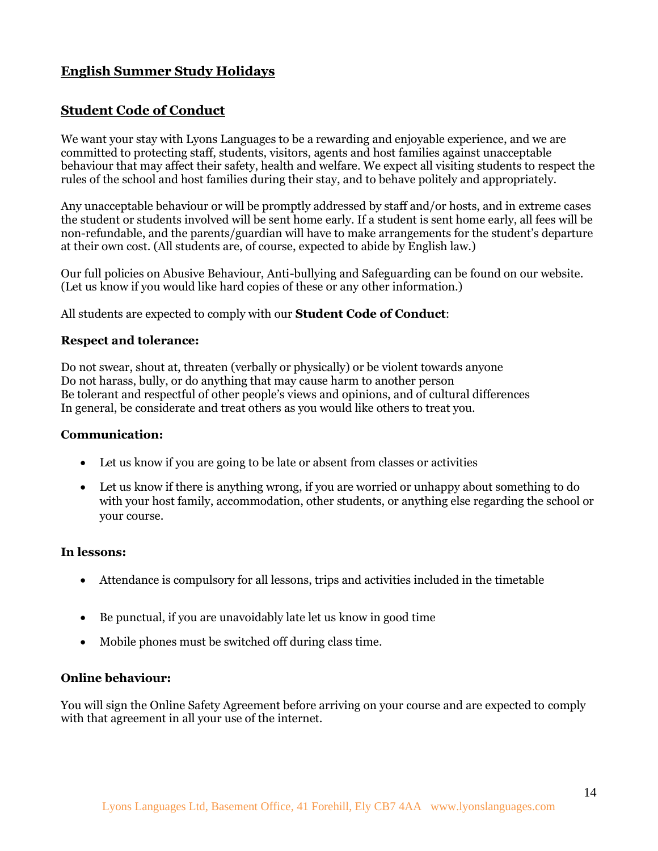## **English Summer Study Holidays**

## **Student Code of Conduct**

We want your stay with Lyons Languages to be a rewarding and enjoyable experience, and we are committed to protecting staff, students, visitors, agents and host families against unacceptable behaviour that may affect their safety, health and welfare. We expect all visiting students to respect the rules of the school and host families during their stay, and to behave politely and appropriately.

Any unacceptable behaviour or will be promptly addressed by staff and/or hosts, and in extreme cases the student or students involved will be sent home early. If a student is sent home early, all fees will be non-refundable, and the parents/guardian will have to make arrangements for the student's departure at their own cost. (All students are, of course, expected to abide by English law.)

Our full policies on Abusive Behaviour, Anti-bullying and Safeguarding can be found on our website. (Let us know if you would like hard copies of these or any other information.)

All students are expected to comply with our **Student Code of Conduct**:

#### **Respect and tolerance:**

Do not swear, shout at, threaten (verbally or physically) or be violent towards anyone Do not harass, bully, or do anything that may cause harm to another person Be tolerant and respectful of other people's views and opinions, and of cultural differences In general, be considerate and treat others as you would like others to treat you.

#### **Communication:**

- Let us know if you are going to be late or absent from classes or activities
- Let us know if there is anything wrong, if you are worried or unhappy about something to do with your host family, accommodation, other students, or anything else regarding the school or your course.

#### **In lessons:**

- Attendance is compulsory for all lessons, trips and activities included in the timetable
- Be punctual, if you are unavoidably late let us know in good time
- Mobile phones must be switched off during class time.

#### **Online behaviour:**

You will sign the Online Safety Agreement before arriving on your course and are expected to comply with that agreement in all your use of the internet.